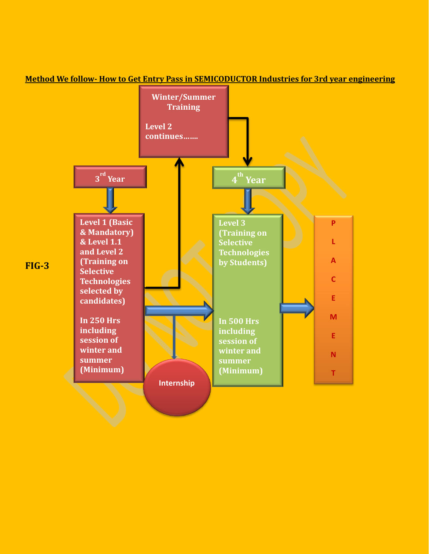

**Method We follow- How to Get Entry Pass in SEMICODUCTOR Industries for 3rd year engineering**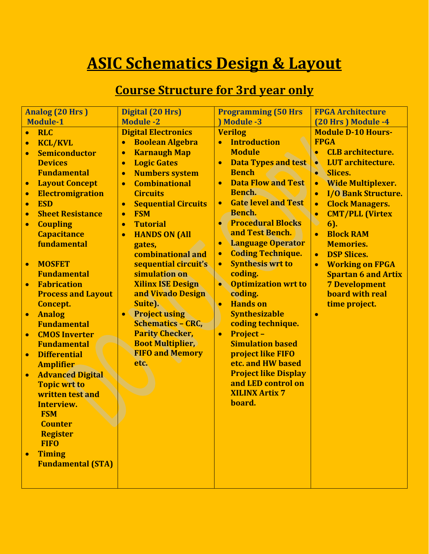## **ASIC Schematics Design & Layout**

## **Course Structure for 3rd year only**

| <b>Analog (20 Hrs)</b> |                           | Digital (20 Hrs)                        | <b>Programming (50 Hrs</b>              | <b>FPGA Architecture</b>                |
|------------------------|---------------------------|-----------------------------------------|-----------------------------------------|-----------------------------------------|
| <b>Module-1</b>        |                           | <b>Module -2</b>                        | <b>Module -3</b>                        | (20 Hrs) Module -4                      |
| $\bullet$              | <b>RLC</b>                | <b>Digital Electronics</b>              | <b>Verilog</b>                          | <b>Module D-10 Hours-</b>               |
| $\bullet$              | <b>KCL/KVL</b>            | <b>Boolean Algebra</b><br>$\bullet$     | <b>Introduction</b>                     | <b>FPGA</b>                             |
| $\bullet$              | <b>Semiconductor</b>      | <b>Karnaugh Map</b><br>$\bullet$        | <b>Module</b>                           | <b>CLB</b> architecture.<br>$\bullet$   |
|                        | <b>Devices</b>            | <b>Logic Gates</b><br>$\bullet$         | <b>Data Types and test</b>              | <b>LUT</b> architecture.<br>$\bullet$   |
|                        | <b>Fundamental</b>        | <b>Numbers system</b><br>$\bullet$      | <b>Bench</b>                            | <b>Slices.</b><br>$\bullet$             |
| $\bullet$              | <b>Layout Concept</b>     | <b>Combinational</b><br>$\bullet$       | <b>Data Flow and Test</b><br>$\bullet$  | <b>Wide Multiplexer.</b>                |
| $\bullet$              | <b>Electromigration</b>   | <b>Circuits</b>                         | Bench.                                  | <b>I/O Bank Structure.</b><br>$\bullet$ |
| $\bullet$              | <b>ESD</b>                | <b>Sequential Circuits</b><br>$\bullet$ | <b>Gate level and Test</b><br>$\bullet$ | <b>Clock Managers.</b><br>$\bullet$     |
| $\bullet$              | <b>Sheet Resistance</b>   | <b>FSM</b><br>$\bullet$                 | <b>Bench.</b>                           | <b>CMT/PLL (Virtex</b>                  |
| $\bullet$              | <b>Coupling</b>           | <b>Tutorial</b><br>$\bullet$            | <b>Procedural Blocks</b>                | $6$ ).                                  |
|                        | <b>Capacitance</b>        | <b>HANDS ON (All</b><br>$\bullet$       | and Test Bench.                         | <b>Block RAM</b>                        |
|                        | fundamental               | gates,                                  | <b>Language Operator</b><br>$\bullet$   | <b>Memories.</b>                        |
|                        |                           | combinational and                       | <b>Coding Technique.</b><br>$\bullet$   | <b>DSP Slices.</b><br>$\bullet$         |
| $\bullet$              | <b>MOSFET</b>             | sequential circuit's                    | <b>Synthesis wrt to</b><br>$\bullet$    | <b>Working on FPGA</b>                  |
|                        | <b>Fundamental</b>        | simulation on                           | coding.                                 | <b>Spartan 6 and Artix</b>              |
| $\bullet$              | <b>Fabrication</b>        | <b>Xilinx ISE Design</b>                | <b>Optimization wrt to</b><br>$\bullet$ | <b>7 Development</b>                    |
|                        | <b>Process and Layout</b> | and Vivado Design                       | coding.                                 | <b>board with real</b>                  |
|                        | <b>Concept.</b>           | <b>Suite).</b>                          | <b>Hands</b> on<br>$\bullet$            | time project.                           |
| $\bullet$              | <b>Analog</b>             | <b>Project using</b><br>$\bullet$       | <b>Synthesizable</b>                    |                                         |
|                        | <b>Fundamental</b>        | <b>Schematics - CRC,</b>                | coding technique.                       |                                         |
| $\bullet$              | <b>CMOS Inverter</b>      | <b>Parity Checker,</b>                  | <b>Project -</b><br>$\bullet$           |                                         |
|                        | <b>Fundamental</b>        | <b>Boot Multiplier,</b>                 | <b>Simulation based</b>                 |                                         |
| $\bullet$              | <b>Differential</b>       | <b>FIFO and Memory</b>                  | project like FIFO                       |                                         |
|                        | <b>Amplifier</b>          | etc.                                    | etc. and HW based                       |                                         |
| $\bullet$              | <b>Advanced Digital</b>   |                                         | <b>Project like Display</b>             |                                         |
|                        | <b>Topic wrt to</b>       |                                         | and LED control on                      |                                         |
|                        | written test and          |                                         | <b>XILINX Artix 7</b>                   |                                         |
|                        | <b>Interview.</b>         |                                         | board.                                  |                                         |
|                        | <b>FSM</b>                |                                         |                                         |                                         |
|                        | <b>Counter</b>            |                                         |                                         |                                         |
|                        | <b>Register</b>           |                                         |                                         |                                         |
|                        | <b>FIFO</b>               |                                         |                                         |                                         |
|                        | <b>Timing</b>             |                                         |                                         |                                         |
|                        | <b>Fundamental (STA)</b>  |                                         |                                         |                                         |
|                        |                           |                                         |                                         |                                         |